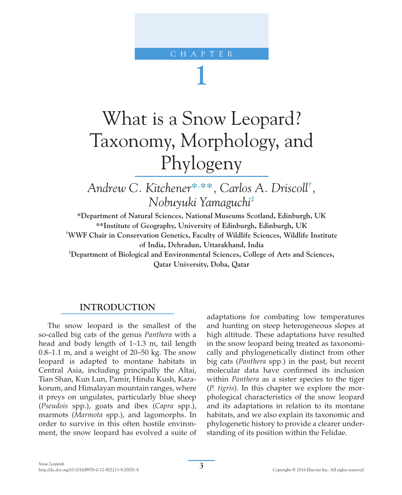# CHAPTER

# **1**

# What is a Snow Leopard? Taxonomy, Morphology, and Phylogeny

*Andrew C. Kitchener\*, \*\*, Carlos A. Driscoll† , Nobuyuki Yamaguchi‡*

**\*Department of Natural Sciences, National Museums Scotland, Edinburgh, UK \*\*Institute of Geography, University of Edinburgh, Edinburgh, UK † WWF Chair in Conservation Genetics, Faculty of Wildlife Sciences, Wildlife Institute of India, Dehradun, Uttarakhand, India**

**‡ Department of Biological and Environmental Sciences, College of Arts and Sciences, Qatar University, Doha, Qatar**

# **INTRODUCTION**

The snow leopard is the smallest of the so-called big cats of the genus *Panthera* with a head and body length of 1–1.3 m, tail length 0.8–1.1 m, and a weight of 20–50 kg. The snow leopard is adapted to montane habitats in Central Asia, including principally the Altai, Tian Shan, Kun Lun, Pamir, Hindu Kush, Karakorum, and Himalayan mountain ranges, where it preys on ungulates, particularly blue sheep (*Pseudois* spp.), goats and ibex (*Capra* spp.), marmots (*Marmota* spp.), and lagomorphs. In order to survive in this often hostile environment, the snow leopard has evolved a suite of adaptations for combating low temperatures and hunting on steep heterogeneous slopes at high altitude. These adaptations have resulted in the snow leopard being treated as taxonomically and phylogenetically distinct from other big cats (*Panthera* spp.) in the past, but recent molecular data have confirmed its inclusion within *Panthera* as a sister species to the tiger (*P. tigris*). In this chapter we explore the morphological characteristics of the snow leopard and its adaptations in relation to its montane habitats, and we also explain its taxonomic and phylogenetic history to provide a clearer understanding of its position within the Felidae.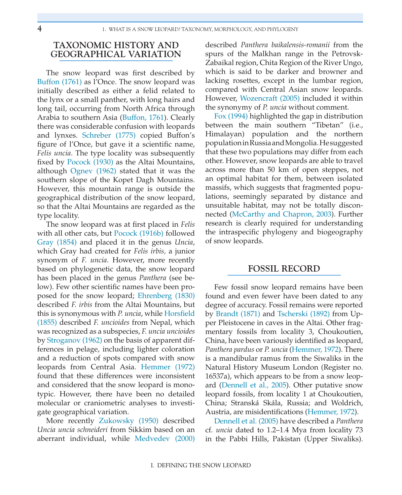# **TAXONOMIC HISTORY AND GEOGRAPHICAL VARIATION**

The snow leopard was first described by Buffon (1761) as l'Once. The snow leopard was initially described as either a felid related to the lynx or a small panther, with long hairs and long tail, occurring from North Africa through Arabia to southern Asia (Buffon, 1761). Clearly there was considerable confusion with leopards and lynxes. Schreber (1775) copied Buffon's figure of l'Once, but gave it a scientific name, *Felis uncia*. The type locality was subsequently fixed by Pocock (1930) as the Altai Mountains, although Ognev (1962) stated that it was the southern slope of the Kopet Dagh Mountains. However, this mountain range is outside the geographical distribution of the snow leopard, so that the Altai Mountains are regarded as the type locality.

The snow leopard was at first placed in *Felis* with all other cats, but Pocock (1916b) followed Gray (1854) and placed it in the genus *Uncia*, which Gray had created for *Felis irbis,* a junior synonym of *F. uncia*. However, more recently based on phylogenetic data, the snow leopard has been placed in the genus *Panthera* (see below). Few other scientific names have been proposed for the snow leopard; Ehrenberg (1830) described *F. irbis* from the Altai Mountains, but this is synonymous with *P. uncia*, while Horsfield (1855) described *F. uncioides* from Nepal, which was recognized as a subspecies, *F. uncia uncioides* by Stroganov (1962) on the basis of apparent differences in pelage, including lighter coloration and a reduction of spots compared with snow leopards from Central Asia. Hemmer (1972) found that these differences were inconsistent and considered that the snow leopard is monotypic. However, there have been no detailed molecular or craniometric analyses to investigate geographical variation.

More recently Zukowsky (1950) described *Uncia uncia schneideri* from Sikkim based on an aberrant individual, while Medvedev (2000)

described *Panthera baikalensis-romanii* from the spurs of the Malkhan range in the Petrovsk-Zabaikal region, Chita Region of the River Ungo, which is said to be darker and browner and lacking rosettes, except in the lumbar region, compared with Central Asian snow leopards. However, Wozencraft (2005) included it within the synonymy of *P. uncia* without comment.

Fox (1994) highlighted the gap in distribution between the main southern "Tibetan" (i.e., Himalayan) population and the northern population in Russia and Mongolia. He suggested that these two populations may differ from each other. However, snow leopards are able to travel across more than 50 km of open steppes, not an optimal habitat for them, between isolated massifs, which suggests that fragmented populations, seemingly separated by distance and unsuitable habitat, may not be totally disconnected (McCarthy and Chapron, 2003). Further research is clearly required for understanding the intraspecific phylogeny and biogeography of snow leopards.

#### **FOSSIL RECORD**

Few fossil snow leopard remains have been found and even fewer have been dated to any degree of accuracy. Fossil remains were reported by Brandt (1871) and Tscherski (1892) from Upper Pleistocene in caves in the Altai. Other fragmentary fossils from locality 3, Choukoutien, China, have been variously identified as leopard, *Panthera pardus* or *P. uncia* (Hemmer, 1972). There is a mandibular ramus from the Siwaliks in the Natural History Museum London (Register no. 16537a), which appears to be from a snow leopard (Dennell et al., 2005). Other putative snow leopard fossils, from locality 1 at Choukoutien, China; Stranská Skála, Russia; and Woldrich, Austria, are misidentifications (Hemmer, 1972).

Dennell et al. (2005) have described a *Panthera* cf. *uncia* dated to 1.2–1.4 Mya from locality 73 in the Pabbi Hills, Pakistan (Upper Siwaliks).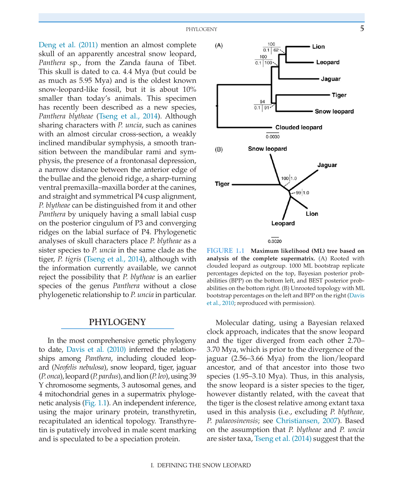PHYLOGENY 5

Deng et al. (2011) mention an almost complete skull of an apparently ancestral snow leopard, *Panthera* sp., from the Zanda fauna of Tibet. This skull is dated to ca. 4.4 Mya (but could be as much as 5.95 Mya) and is the oldest known snow-leopard-like fossil, but it is about 10% smaller than today's animals. This specimen has recently been described as a new species, *Panthera blytheae* (Tseng et al., 2014). Although sharing characters with *P. uncia*, such as canines with an almost circular cross-section, a weakly inclined mandibular symphysis, a smooth transition between the mandibular rami and symphysis, the presence of a frontonasal depression, a narrow distance between the anterior edge of the bullae and the glenoid ridge, a sharp-turning ventral premaxilla–maxilla border at the canines, and straight and symmetrical P4 cusp alignment, *P. blytheae* can be distinguished from it and other *Panthera* by uniquely having a small labial cusp on the posterior cingulum of P3 and converging ridges on the labial surface of P4. Phylogenetic analyses of skull characters place *P. blytheae* as a sister species to *P. uncia* in the same clade as the tiger, *P. tigris* (Tseng et al., 2014), although with the information currently available, we cannot reject the possibility that *P. blytheae* is an earlier species of the genus *Panthera* without a close phylogenetic relationship to *P. uncia* in particular.

#### **PHYLOGENY**

In the most comprehensive genetic phylogeny to date, Davis et al. (2010) inferred the relationships among *Panthera*, including clouded leopard (*Neofelis nebulosa*), snow leopard, tiger, jaguar (*P. onca*), leopard (*P. pardus*), and lion (*P. leo*), using 39 Y chromosome segments, 3 autosomal genes, and 4 mitochondrial genes in a supermatrix phylogenetic analysis (Fig. 1.1). An independent inference, using the major urinary protein, transthyretin, recapitulated an identical topology. Transthyretin is putatively involved in male scent marking and is speculated to be a speciation protein.



**FIGURE 1.1 Maximum likelihood (ML) tree based on analysis of the complete supermatrix.** (A) Rooted with clouded leopard as outgroup. 1000 ML bootstrap replicate percentages depicted on the top, Bayesian posterior probabilities (BPP) on the bottom left, and BEST posterior probabilities on the bottom right. (B) Unrooted topology with ML bootstrap percentages on the left and BPP on the right (Davis et al., 2010; reproduced with permission).

Molecular dating, using a Bayesian relaxed clock approach, indicates that the snow leopard and the tiger diverged from each other 2.70– 3.70 Mya, which is prior to the divergence of the jaguar (2.56–3.66 Mya) from the lion/leopard ancestor, and of that ancestor into those two species (1.95–3.10 Mya). Thus, in this analysis, the snow leopard is a sister species to the tiger, however distantly related, with the caveat that the tiger is the closest relative among extant taxa used in this analysis (i.e., excluding *P. blytheae, P. palaeosinensis*; see Christiansen, 2007). Based on the assumption that *P. blytheae* and *P. uncia* are sister taxa, Tseng et al. (2014) suggest that the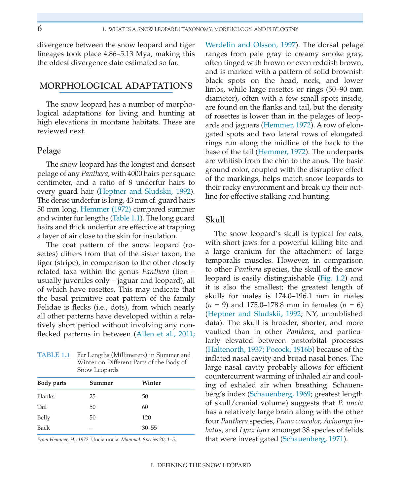divergence between the snow leopard and tiger lineages took place 4.86–5.13 Mya, making this the oldest divergence date estimated so far.

# **MORPHOLOGICAL ADAPTATIONS**

The snow leopard has a number of morphological adaptations for living and hunting at high elevations in montane habitats. These are reviewed next.

#### **Pelage**

The snow leopard has the longest and densest pelage of any *Panthera*, with 4000 hairs per square centimeter, and a ratio of 8 underfur hairs to every guard hair (Heptner and Sludskii, 1992). The dense underfur is long, 43 mm cf. guard hairs 50 mm long. Hemmer (1972) compared summer and winter fur lengths (Table 1.1). The long guard hairs and thick underfur are effective at trapping a layer of air close to the skin for insulation.

The coat pattern of the snow leopard (rosettes) differs from that of the sister taxon, the tiger (stripe), in comparison to the other closely related taxa within the genus *Panthera* (lion – usually juveniles only – jaguar and leopard), all of which have rosettes. This may indicate that the basal primitive coat pattern of the family Felidae is flecks (i.e., dots), from which nearly all other patterns have developed within a relatively short period without involving any nonflecked patterns in between (Allen et al., 2011;

**TABLE 1.1** Fur Lengths (Millimeters) in Summer and Winter on Different Parts of the Body of Snow Leopards

| Body parts | Summer | Winter    |
|------------|--------|-----------|
| Flanks     | 25     | 50        |
| Tail       | 50     | 60        |
| Belly      | 50     | 120       |
| Back       |        | $30 - 55$ |

*From Hemmer, H., 1972.* Uncia uncia. *Mammal. Species 20, 1–5.*

Werdelin and Olsson, 1997). The dorsal pelage ranges from pale gray to creamy smoke gray, often tinged with brown or even reddish brown, and is marked with a pattern of solid brownish black spots on the head, neck, and lower limbs, while large rosettes or rings (50–90 mm diameter), often with a few small spots inside, are found on the flanks and tail, but the density of rosettes is lower than in the pelages of leopards and jaguars (Hemmer, 1972). A row of elongated spots and two lateral rows of elongated rings run along the midline of the back to the base of the tail (Hemmer, 1972). The underparts are whitish from the chin to the anus. The basic ground color, coupled with the disruptive effect of the markings, helps match snow leopards to their rocky environment and break up their outline for effective stalking and hunting.

# **Skull**

The snow leopard's skull is typical for cats, with short jaws for a powerful killing bite and a large cranium for the attachment of large temporalis muscles. However, in comparison to other *Panthera* species, the skull of the snow leopard is easily distinguishable (Fig. 1.2) and it is also the smallest; the greatest length of skulls for males is 174.0–196.1 mm in males (*n* = 9) and 175.0–178.8 mm in females (*n* = 6) (Heptner and Sludskii, 1992; NY, unpublished data). The skull is broader, shorter, and more vaulted than in other *Panthera*, and particularly elevated between postorbital processes (Haltenorth, 1937; Pocock, 1916b) because of the inflated nasal cavity and broad nasal bones. The large nasal cavity probably allows for efficient countercurrent warming of inhaled air and cooling of exhaled air when breathing. Schauenberg's index (Schauenberg, 1969; greatest length of skull/cranial volume) suggests that *P. uncia* has a relatively large brain along with the other four *Panthera* species, *Puma concolor, Acinonyx jubatus*, and *Lynx lynx* amongst 38 species of felids that were investigated (Schauenberg, 1971).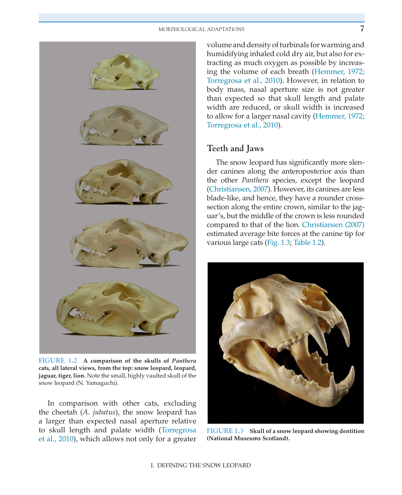

**FIGURE 1.2 A comparison of the skulls of** *Panthera* **cats, all lateral views, from the top: snow leopard, leopard, jaguar, tiger, lion.** Note the small, highly vaulted skull of the snow leopard (N. Yamaguchi).

In comparison with other cats, excluding the cheetah (*A. jubatus*), the snow leopard has a larger than expected nasal aperture relative to skull length and palate width (Torregrosa et al., 2010), which allows not only for a greater volume and density of turbinals for warming and humidifying inhaled cold dry air, but also for extracting as much oxygen as possible by increasing the volume of each breath (Hemmer, 1972; Torregrosa et al., 2010). However, in relation to body mass, nasal aperture size is not greater than expected so that skull length and palate width are reduced, or skull width is increased to allow for a larger nasal cavity (Hemmer, 1972; Torregrosa et al., 2010).

# **Teeth and Jaws**

The snow leopard has significantly more slender canines along the anteroposterior axis than the other *Panthera* species, except the leopard (Christiansen, 2007). However, its canines are less blade-like, and hence, they have a rounder crosssection along the entire crown, similar to the jaguar's, but the middle of the crown is less rounded compared to that of the lion. Christiansen (2007) estimated average bite forces at the canine tip for various large cats (Fig. 1.3; Table 1.2).



**FIGURE 1.3 Skull of a snow leopard showing dentition (National Museums Scotland).**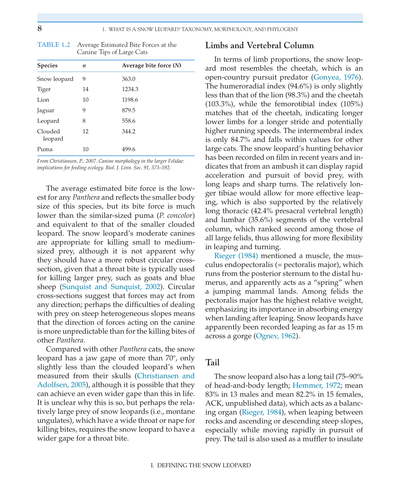| I  |   |   |
|----|---|---|
| ۰, | ٠ |   |
|    |   |   |
|    | ٠ | I |

| <b>Species</b>     | $\boldsymbol{n}$ | Average bite force $(N)$ |  |  |
|--------------------|------------------|--------------------------|--|--|
| Snow leopard       | 9                | 363.0                    |  |  |
| Tiger              | 14               | 1234.3                   |  |  |
| Lion               | 10               | 1198.6                   |  |  |
| Jaguar             | 9                | 879.5                    |  |  |
| Leopard            | 8                | 558.6                    |  |  |
| Clouded<br>leopard | 12               | 344.2                    |  |  |
| Puma               | 10               | 499.6                    |  |  |

**TABLE 1.2** Average Estimated Bite Forces at the Canine Tips of Large Cats

*From Christiansen, P., 2007. Canine morphology in the larger Felidae: implications for feeding ecology. Biol. J. Linn. Soc. 91, 573–592.*

The average estimated bite force is the lowest for any *Panthera* and reflects the smaller body size of this species, but its bite force is much lower than the similar-sized puma (*P. concolor*) and equivalent to that of the smaller clouded leopard. The snow leopard's moderate canines are appropriate for killing small to mediumsized prey, although it is not apparent why they should have a more robust circular crosssection, given that a throat bite is typically used for killing larger prey, such as goats and blue sheep (Sunquist and Sunquist, 2002). Circular cross-sections suggest that forces may act from any direction; perhaps the difficulties of dealing with prey on steep heterogeneous slopes means that the direction of forces acting on the canine is more unpredictable than for the killing bites of other *Panthera*.

Compared with other *Panthera* cats, the snow leopard has a jaw gape of more than 70°, only slightly less than the clouded leopard's when measured from their skulls (Christiansen and Adolfsen, 2005), although it is possible that they can achieve an even wider gape than this in life. It is unclear why this is so, but perhaps the relatively large prey of snow leopards (i.e., montane ungulates), which have a wide throat or nape for killing bites, requires the snow leopard to have a wider gape for a throat bite.

# **Limbs and Vertebral Column**

In terms of limb proportions, the snow leopard most resembles the cheetah, which is an open-country pursuit predator (Gonyea, 1976). The humeroradial index (94.6%) is only slightly less than that of the lion (98.3%) and the cheetah (103.3%), while the femorotibial index (105%) matches that of the cheetah, indicating longer lower limbs for a longer stride and potentially higher running speeds. The intermembral index is only 84.7% and falls within values for other large cats. The snow leopard's hunting behavior has been recorded on film in recent years and indicates that from an ambush it can display rapid acceleration and pursuit of bovid prey, with long leaps and sharp turns. The relatively longer tibiae would allow for more effective leaping, which is also supported by the relatively long thoracic (42.4% presacral vertebral length) and lumbar (35.6%) segments of the vertebral column, which ranked second among those of all large felids, thus allowing for more flexibility in leaping and turning.

Rieger (1984) mentioned a muscle, the musculus endopectoralis (= pectoralis major), which runs from the posterior sternum to the distal humerus, and apparently acts as a "spring" when a jumping mammal lands. Among felids the pectoralis major has the highest relative weight, emphasizing its importance in absorbing energy when landing after leaping. Snow leopards have apparently been recorded leaping as far as 15 m across a gorge (Ognev, 1962).

#### **Tail**

The snow leopard also has a long tail (75–90% of head-and-body length; Hemmer, 1972; mean 83% in 13 males and mean 82.2% in 15 females, ACK, unpublished data), which acts as a balancing organ (Rieger, 1984), when leaping between rocks and ascending or descending steep slopes, especially while moving rapidly in pursuit of prey. The tail is also used as a muffler to insulate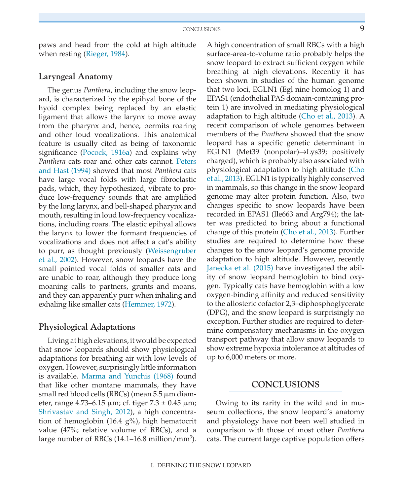paws and head from the cold at high altitude when resting (Rieger, 1984).

#### **Laryngeal Anatomy**

The genus *Panthera*, including the snow leopard, is characterized by the epihyal bone of the hyoid complex being replaced by an elastic ligament that allows the larynx to move away from the pharynx and, hence, permits roaring and other loud vocalizations. This anatomical feature is usually cited as being of taxonomic significance (Pocock, 1916a) and explains why *Panthera* cats roar and other cats cannot. Peters and Hast (1994) showed that most *Panthera* cats have large vocal folds with large fibroelastic pads, which, they hypothesized, vibrate to produce low-frequency sounds that are amplified by the long larynx, and bell-shaped pharynx and mouth, resulting in loud low-frequency vocalizations, including roars. The elastic epihyal allows the larynx to lower the formant frequencies of vocalizations and does not affect a cat's ability to purr, as thought previously (Weissengruber et al., 2002). However, snow leopards have the small pointed vocal folds of smaller cats and are unable to roar, although they produce long moaning calls to partners, grunts and moans, and they can apparently purr when inhaling and exhaling like smaller cats (Hemmer, 1972).

#### **Physiological Adaptations**

Living at high elevations, it would be expected that snow leopards should show physiological adaptations for breathing air with low levels of oxygen. However, surprisingly little information is available. Marma and Yunchis (1968) found that like other montane mammals, they have small red blood cells (RBCs) (mean 5.5 μm diameter, range  $4.73-6.15 \mu m$ ; cf. tiger  $7.3 \pm 0.45 \mu m$ ; Shrivastav and Singh, 2012), a high concentration of hemoglobin (16.4 g%), high hematocrit value (47%; relative volume of RBCs), and a large number of RBCs  $(14.1 - 16.8 \text{ million/mm}^3)$ .

A high concentration of small RBCs with a high surface-area-to-volume ratio probably helps the snow leopard to extract sufficient oxygen while breathing at high elevations. Recently it has been shown in studies of the human genome that two loci, EGLN1 (Egl nine homolog 1) and EPAS1 (endothelial PAS domain-containing protein 1) are involved in mediating physiological adaptation to high altitude (Cho et al., 2013). A recent comparison of whole genomes between members of the *Panthera* showed that the snow leopard has a specific genetic determinant in EGLN1 (Met39 (nonpolar)→Lys39; positively charged), which is probably also associated with physiological adaptation to high altitude (Cho et al., 2013). EGLN1 is typically highly conserved in mammals, so this change in the snow leopard genome may alter protein function. Also, two changes specific to snow leopards have been recorded in EPAS1 (Ile663 and Arg794); the latter was predicted to bring about a functional change of this protein (Cho et al., 2013). Further studies are required to determine how these changes to the snow leopard's genome provide adaptation to high altitude. However, recently Janecka et al. (2015) have investigated the ability of snow leopard hemoglobin to bind oxygen. Typically cats have hemoglobin with a low oxygen-binding affinity and reduced sensitivity to the allosteric cofactor 2,3–diphosphoglycerate (DPG), and the snow leopard is surprisingly no exception. Further studies are required to determine compensatory mechanisms in the oxygen transport pathway that allow snow leopards to show extreme hypoxia intolerance at altitudes of up to 6,000 meters or more.

# **CONCLUSIONS**

Owing to its rarity in the wild and in museum collections, the snow leopard's anatomy and physiology have not been well studied in comparison with those of most other *Panthera* cats. The current large captive population offers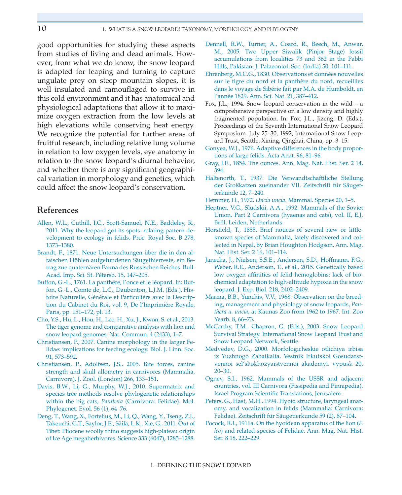good opportunities for studying these aspects from studies of living and dead animals. However, from what we do know, the snow leopard is adapted for leaping and turning to capture ungulate prey on steep mountain slopes, it is well insulated and camouflaged to survive in this cold environment and it has anatomical and physiological adaptations that allow it to maximize oxygen extraction from the low levels at high elevations while conserving heat energy. We recognize the potential for further areas of fruitful research, including relative lung volume in relation to low oxygen levels, eye anatomy in relation to the snow leopard's diurnal behavior, and whether there is any significant geographical variation in morphology and genetics, which could affect the snow leopard's conservation.

### **References**

- [Allen, W.L., Cuthill, I.C., Scott-Samuel, N.E., Baddeley, R.,](http://refhub.elsevier.com/B978-0-12-802213-9.00001-8/ref0010)  [2011. Why the leopard got its spots: relating pattern de](http://refhub.elsevier.com/B978-0-12-802213-9.00001-8/ref0010)[velopment to ecology in felids. Proc. Royal Soc. B 278,](http://refhub.elsevier.com/B978-0-12-802213-9.00001-8/ref0010) [1373–1380](http://refhub.elsevier.com/B978-0-12-802213-9.00001-8/ref0010).
- [Brandt, F., 1871. Neue Untersuchungen über die in den al](http://refhub.elsevier.com/B978-0-12-802213-9.00001-8/ref0015)[taischen Höhlen aufgefundenen Säugethierreste, ein Be](http://refhub.elsevier.com/B978-0-12-802213-9.00001-8/ref0015)[trag zue quaternären Fauna des Russischen Reiches. Bull.](http://refhub.elsevier.com/B978-0-12-802213-9.00001-8/ref0015) [Acad. Imp. Sci. St. Pétersb. 15, 147–205](http://refhub.elsevier.com/B978-0-12-802213-9.00001-8/ref0015).
- [Buffon, G.-L., 1761. La panthére, l'once et le léopard. In: Buf](http://refhub.elsevier.com/B978-0-12-802213-9.00001-8/ref0020)[fon, G.-L., Comte de, L.C., Daubenton, L.J.M. \(Eds.\), His](http://refhub.elsevier.com/B978-0-12-802213-9.00001-8/ref0020)[toire Naturelle, Générale et Particuliére avec la Descrip](http://refhub.elsevier.com/B978-0-12-802213-9.00001-8/ref0020)[tion du Cabinet du Roi, vol. 9, De l'Imprimière Royale,](http://refhub.elsevier.com/B978-0-12-802213-9.00001-8/ref0020) [Paris, pp. 151–172, pl. 13](http://refhub.elsevier.com/B978-0-12-802213-9.00001-8/ref0020).
- [Cho, Y.S., Hu, L., Hou, H., Lee, H., Xu, J., Kwon, S. et al., 2013.](http://refhub.elsevier.com/B978-0-12-802213-9.00001-8/ref0025) [The tiger genome and comparative analysis with lion and](http://refhub.elsevier.com/B978-0-12-802213-9.00001-8/ref0025) [snow leopard genomes. Nat. Commun. 4 \(2433\), 1–7](http://refhub.elsevier.com/B978-0-12-802213-9.00001-8/ref0025).
- [Christiansen, P., 2007. Canine morphology in the larger Fe](http://refhub.elsevier.com/B978-0-12-802213-9.00001-8/ref0030)[lidae: implications for feeding ecology. Biol. J. Linn. Soc.](http://refhub.elsevier.com/B978-0-12-802213-9.00001-8/ref0030)  [91, 573–592](http://refhub.elsevier.com/B978-0-12-802213-9.00001-8/ref0030).
- [Christiansen, P., Adolfsen, J.S., 2005. Bite forces, canine](http://refhub.elsevier.com/B978-0-12-802213-9.00001-8/ref0035) [strength and skull allometry in carnivores \(Mammalia,](http://refhub.elsevier.com/B978-0-12-802213-9.00001-8/ref0035) [Carnivora\). J. Zool. \(London\) 266, 133–151.](http://refhub.elsevier.com/B978-0-12-802213-9.00001-8/ref0035)
- [Davis, B.W., Li, G., Murphy, W.J., 2010. Supermatrix and](http://refhub.elsevier.com/B978-0-12-802213-9.00001-8/ref0040) [species tree methods resolve phylogenetic relationships](http://refhub.elsevier.com/B978-0-12-802213-9.00001-8/ref0040) within the big cats, *Panthera* [\(Carnivora: Felidae\). Mol.](http://refhub.elsevier.com/B978-0-12-802213-9.00001-8/ref0040)  [Phylogenet. Evol. 56 \(1\), 64–76](http://refhub.elsevier.com/B978-0-12-802213-9.00001-8/ref0040).
- [Deng, T., Wang, X., Fortelius, M., Li, Q., Wang, Y., Tseng, Z.J.,](http://refhub.elsevier.com/B978-0-12-802213-9.00001-8/ref0045)  [Takeuchi, G.T., Saylor, J.E., Säilä, L.K., Xie, G., 2011. Out of](http://refhub.elsevier.com/B978-0-12-802213-9.00001-8/ref0045)  [Tibet: Pliocene woolly rhino suggests high-plateau origin](http://refhub.elsevier.com/B978-0-12-802213-9.00001-8/ref0045)  [of Ice Age megaherbivores. Science 333 \(6047\), 1285–1288.](http://refhub.elsevier.com/B978-0-12-802213-9.00001-8/ref0045)
- [Dennell, R.W., Turner, A., Coard, R., Beech, M., Anwar,](http://refhub.elsevier.com/B978-0-12-802213-9.00001-8/ref0050)  [M., 2005. Two Upper Siwalik \(Pinjor Stage\) fossil](http://refhub.elsevier.com/B978-0-12-802213-9.00001-8/ref0050)  [accumulations from localities 73 and 362 in the Pabbi](http://refhub.elsevier.com/B978-0-12-802213-9.00001-8/ref0050)  [Hills, Pakistan. J. Palaeontol. Soc. \(India\) 50, 101–111](http://refhub.elsevier.com/B978-0-12-802213-9.00001-8/ref0050).
- [Ehrenberg, M.C.G., 1830. Observations et données nouvelles](http://refhub.elsevier.com/B978-0-12-802213-9.00001-8/ref0055)  [sur le tigre du nord et la panthère du nord, recueillies](http://refhub.elsevier.com/B978-0-12-802213-9.00001-8/ref0055) [dans le voyage de Sibérie fait par M.A. de Humboldt, en](http://refhub.elsevier.com/B978-0-12-802213-9.00001-8/ref0055)  [l'année 1829. Ann. Sci. Nat. 21, 387–412](http://refhub.elsevier.com/B978-0-12-802213-9.00001-8/ref0055).
- Fox, J.L., 1994. Snow leopard conservation in the wild a comprehensive perspective on a low density and highly fragmented population. In: Fox, J.L., Jizeng, D. (Eds.), Proceedings of the Seventh International Snow Leopard Symposium. July 25–30, 1992, International Snow Leopard Trust, Seattle, Xining, Qinghai, China, pp. 3–15.
- [Gonyea, W.J., 1976. Adaptive differences in the body propor](http://refhub.elsevier.com/B978-0-12-802213-9.00001-8/ref0060)[tions of large felids. Acta Anat. 96, 81–96.](http://refhub.elsevier.com/B978-0-12-802213-9.00001-8/ref0060)
- [Gray, J.E., 1854. The ounces. Ann. Mag. Nat. Hist. Ser. 2 14,](http://refhub.elsevier.com/B978-0-12-802213-9.00001-8/ref0065) [394](http://refhub.elsevier.com/B978-0-12-802213-9.00001-8/ref0065).
- [Haltenorth, T., 1937. Die Verwandtschaftiliche Stellung](http://refhub.elsevier.com/B978-0-12-802213-9.00001-8/ref0070) [der Großkatzen zueinander VII. Zeitschrift für Säuget](http://refhub.elsevier.com/B978-0-12-802213-9.00001-8/ref0070)[ierkunde 12, 7–240.](http://refhub.elsevier.com/B978-0-12-802213-9.00001-8/ref0070)
- Hemmer, H., 1972. *Uncia uncia*[. Mammal. Species 20, 1–5](http://refhub.elsevier.com/B978-0-12-802213-9.00001-8/ref0075).
- [Heptner, V.G., Sludskii, A.A., 1992. Mammals of the Soviet](http://refhub.elsevier.com/B978-0-12-802213-9.00001-8/ref0080)  [Union. Part 2 Carnivora \(hyaenas and cats\), vol. II, E.J.](http://refhub.elsevier.com/B978-0-12-802213-9.00001-8/ref0080)  [Brill, Leiden, Netherlands](http://refhub.elsevier.com/B978-0-12-802213-9.00001-8/ref0080).
- [Horsfield, T., 1855. Brief notices of several new or little](http://refhub.elsevier.com/B978-0-12-802213-9.00001-8/ref0085)[known species of Mammalia, lately discovered and col](http://refhub.elsevier.com/B978-0-12-802213-9.00001-8/ref0085)[lected in Nepal, by Brian Houghton Hodgson. Ann. Mag.](http://refhub.elsevier.com/B978-0-12-802213-9.00001-8/ref0085)  [Nat. Hist. Ser. 2 16, 101–114](http://refhub.elsevier.com/B978-0-12-802213-9.00001-8/ref0085).
- [Janecka, J., Nielsen, S.S.E., Andersen, S.D., Hoffmann, F.G.,](http://refhub.elsevier.com/B978-0-12-802213-9.00001-8/ref0180) [Weber, R.E., Anderson, T., et](http://refhub.elsevier.com/B978-0-12-802213-9.00001-8/ref0180) al., 2015. Genetically based [low oxygen affinities of felid hemoglobins: lack of bio](http://refhub.elsevier.com/B978-0-12-802213-9.00001-8/ref0180)[chemical adaptation to high-altitude hypoxia in the snow](http://refhub.elsevier.com/B978-0-12-802213-9.00001-8/ref0180)  [leopard. J. Exp. Biol. 218, 2402–2409.](http://refhub.elsevier.com/B978-0-12-802213-9.00001-8/ref0180)
- [Marma, B.B., Yunchis, V.V., 1968. Observation on the breed](http://refhub.elsevier.com/B978-0-12-802213-9.00001-8/ref0090)[ing, management and physiology of snow leopards,](http://refhub.elsevier.com/B978-0-12-802213-9.00001-8/ref0090) *Panthera u. uncia*[, at Kaunas Zoo from 1962 to 1967. Int. Zoo](http://refhub.elsevier.com/B978-0-12-802213-9.00001-8/ref0090)  Yearb. 8, 66-73.
- [McCarthy, T.M., Chapron, G. \(Eds.\), 2003. Snow Leopard](http://refhub.elsevier.com/B978-0-12-802213-9.00001-8/ref0095) [Survival Strategy. International Snow Leopard Trust and](http://refhub.elsevier.com/B978-0-12-802213-9.00001-8/ref0095) [Snow Leopard Network, Seattle.](http://refhub.elsevier.com/B978-0-12-802213-9.00001-8/ref0095)
- [Medvedev, D.G., 2000. Morfologicheskie otlichiya irbisa](http://refhub.elsevier.com/B978-0-12-802213-9.00001-8/ref0100) [iz Yuzhnogo Zabaikalia. Vestnik Irkutskoi Gosudarst](http://refhub.elsevier.com/B978-0-12-802213-9.00001-8/ref0100)[vennoi sel'skokhozyaistvennoi akademyi, vypusk 20,](http://refhub.elsevier.com/B978-0-12-802213-9.00001-8/ref0100) [20–30](http://refhub.elsevier.com/B978-0-12-802213-9.00001-8/ref0100).
- [Ognev, S.I., 1962. Mammals of the USSR and adjacent](http://refhub.elsevier.com/B978-0-12-802213-9.00001-8/ref0105) [countries, vol. III Carnivora \(Fissipedia and Pinnipedia\).](http://refhub.elsevier.com/B978-0-12-802213-9.00001-8/ref0105)  [Israel Program Scientific Translations, Jerusalem](http://refhub.elsevier.com/B978-0-12-802213-9.00001-8/ref0105).
- [Peters, G., Hast, M.H., 1994. Hyoid structure, laryngeal anat](http://refhub.elsevier.com/B978-0-12-802213-9.00001-8/ref0110)[omy, and vocalization in felids \(Mammalia: Carnivora;](http://refhub.elsevier.com/B978-0-12-802213-9.00001-8/ref0110)  [Felidae\). Zeitschrift für Säugetierkunde 59 \(2\), 87–104.](http://refhub.elsevier.com/B978-0-12-802213-9.00001-8/ref0110)
- [Pocock, R.I., 1916a. On the hyoidean apparatus of the lion \(](http://refhub.elsevier.com/B978-0-12-802213-9.00001-8/ref0115)*F. leo*[\) and related species of Felidae. Ann. Mag. Nat. Hist.](http://refhub.elsevier.com/B978-0-12-802213-9.00001-8/ref0115)  [Ser. 8 18, 222–229.](http://refhub.elsevier.com/B978-0-12-802213-9.00001-8/ref0115)